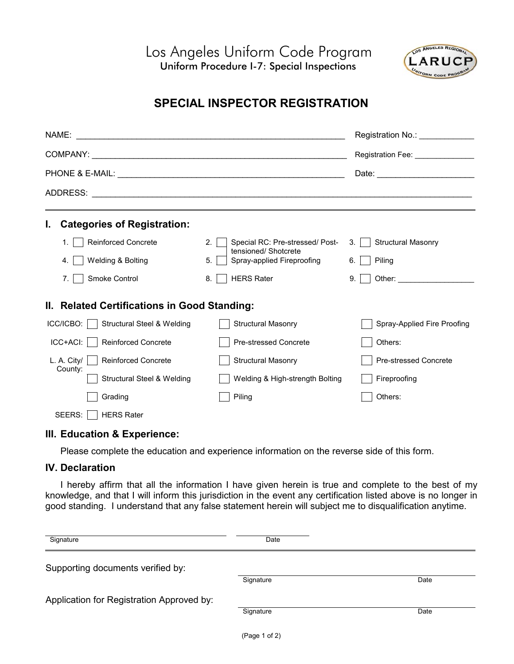Los Angeles Uniform Code Program Uniform Procedure I-7: Special Inspections



## **SPECIAL INSPECTOR REGISTRATION**

|                                                                | Registration No.: 1997                                  |                                     |  |  |  |  |
|----------------------------------------------------------------|---------------------------------------------------------|-------------------------------------|--|--|--|--|
|                                                                |                                                         | Registration Fee: _________________ |  |  |  |  |
|                                                                |                                                         |                                     |  |  |  |  |
|                                                                |                                                         |                                     |  |  |  |  |
| <b>Categories of Registration:</b><br>Ъ.                       |                                                         |                                     |  |  |  |  |
| <b>Reinforced Concrete</b><br>$1_{-}$                          | Special RC: Pre-stressed/ Post-<br>2.                   | <b>Structural Masonry</b><br>3.     |  |  |  |  |
| Welding & Bolting<br>4.                                        | tensioned/Shotcrete<br>Spray-applied Fireproofing<br>5. | Piling<br>6.                        |  |  |  |  |
| Smoke Control<br>$7_{\cdot}$                                   | <b>HERS Rater</b><br>8.                                 | 9.                                  |  |  |  |  |
| II. Related Certifications in Good Standing:                   |                                                         |                                     |  |  |  |  |
| $ICC/ICBO: \parallel$<br><b>Structural Steel &amp; Welding</b> | <b>Structural Masonry</b>                               | Spray-Applied Fire Proofing         |  |  |  |  |
| $ICC+ACI:$<br><b>Reinforced Concrete</b>                       | <b>Pre-stressed Concrete</b>                            | Others:                             |  |  |  |  |
| <b>Reinforced Concrete</b><br>L. A. City/                      | <b>Structural Masonry</b>                               | <b>Pre-stressed Concrete</b>        |  |  |  |  |
| County:<br>Structural Steel & Welding                          | Welding & High-strength Bolting                         | Fireproofing                        |  |  |  |  |
| Grading                                                        | Piling                                                  | Others:                             |  |  |  |  |
| SEERS:<br><b>HERS Rater</b>                                    |                                                         |                                     |  |  |  |  |

## **III. Education & Experience:**

Please complete the education and experience information on the reverse side of this form.

## **IV. Declaration**

I hereby affirm that all the information I have given herein is true and complete to the best of my knowledge, and that I will inform this jurisdiction in the event any certification listed above is no longer in good standing. I understand that any false statement herein will subject me to disqualification anytime.

| Signature                                 | Date      |      |
|-------------------------------------------|-----------|------|
| Supporting documents verified by:         |           |      |
|                                           | Signature | Date |
| Application for Registration Approved by: |           |      |
|                                           | Signature | Date |